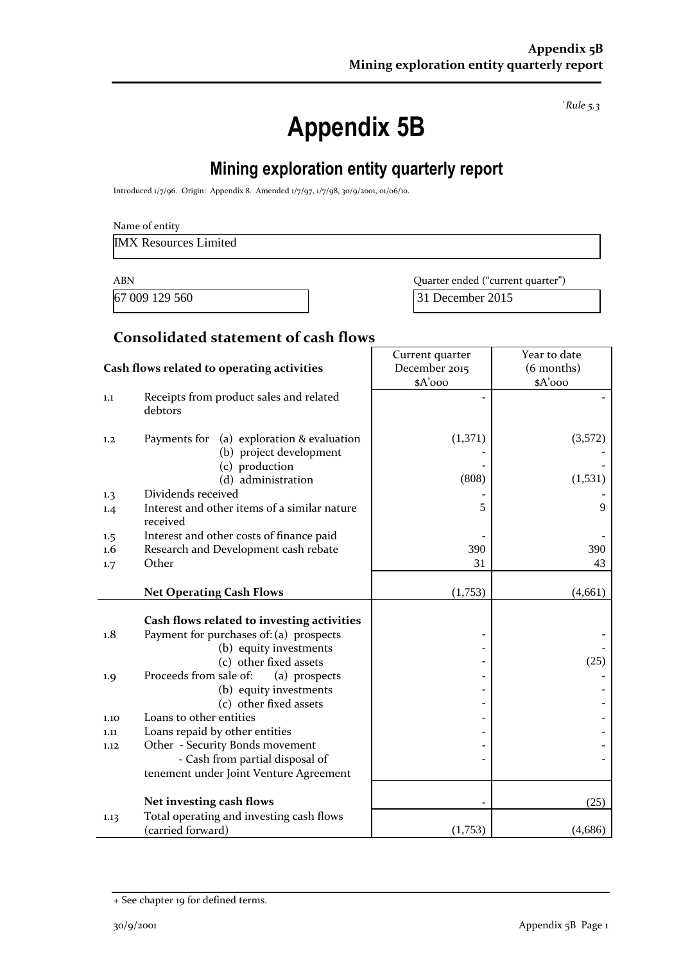*`Rule 5.3*

# **Appendix 5B**

# **Mining exploration entity quarterly report**

Introduced 1/7/96. Origin: Appendix 8. Amended 1/7/97, 1/7/98, 30/9/2001, 01/06/10.

IMX Resources Limited

ABN **ABN** Quarter ended ("current quarter")

67 009 129 560 31 December 2015

#### **Consolidated statement of cash flows**

|                                            |                                                                                                                 | Current quarter  | Year to date        |
|--------------------------------------------|-----------------------------------------------------------------------------------------------------------------|------------------|---------------------|
| Cash flows related to operating activities |                                                                                                                 | December 2015    | $(6$ months)        |
|                                            |                                                                                                                 | \$A'ooo          | \$A'ooo             |
| 1.1                                        | Receipts from product sales and related<br>debtors                                                              |                  |                     |
| 1,2                                        | Payments for<br>(a) exploration & evaluation<br>(b) project development<br>(c) production<br>(d) administration | (1,371)<br>(808) | (3,572)<br>(1, 531) |
|                                            | Dividends received                                                                                              |                  |                     |
| 1.3                                        | Interest and other items of a similar nature                                                                    |                  |                     |
| 1.4                                        | received                                                                                                        | 5                | 9                   |
| 1.5                                        | Interest and other costs of finance paid                                                                        |                  |                     |
| $1.6\,$                                    | Research and Development cash rebate                                                                            | 390              | 390                 |
| 1.7                                        | Other                                                                                                           | 31               | 43                  |
|                                            | <b>Net Operating Cash Flows</b>                                                                                 | (1,753)          | (4,661)             |
|                                            | Cash flows related to investing activities                                                                      |                  |                     |
| 1.8                                        | Payment for purchases of: (a) prospects                                                                         |                  |                     |
|                                            | (b) equity investments                                                                                          |                  |                     |
|                                            | (c) other fixed assets                                                                                          |                  | (25)                |
| 1.9                                        | Proceeds from sale of:<br>(a) prospects                                                                         |                  |                     |
|                                            | (b) equity investments                                                                                          |                  |                     |
|                                            | (c) other fixed assets                                                                                          |                  |                     |
| 1.10                                       | Loans to other entities                                                                                         |                  |                     |
| 1.11                                       | Loans repaid by other entities                                                                                  |                  |                     |
| 1.12                                       | Other - Security Bonds movement                                                                                 |                  |                     |
|                                            | - Cash from partial disposal of                                                                                 |                  |                     |
|                                            | tenement under Joint Venture Agreement                                                                          |                  |                     |
|                                            | Net investing cash flows                                                                                        |                  | (25)                |
| 1.13                                       | Total operating and investing cash flows                                                                        |                  |                     |
|                                            | (carried forward)                                                                                               | (1,753)          | (4,686)             |

<sup>+</sup> See chapter 19 for defined terms.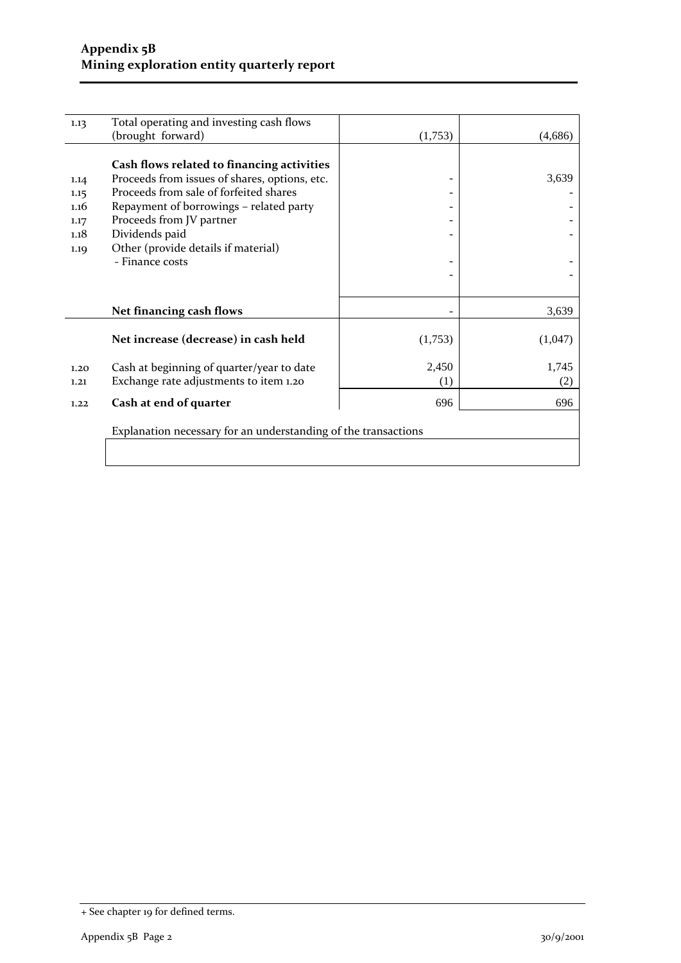| 1.13                                         | Total operating and investing cash flows                                                                                                                                                                                                                                                 |                           |              |
|----------------------------------------------|------------------------------------------------------------------------------------------------------------------------------------------------------------------------------------------------------------------------------------------------------------------------------------------|---------------------------|--------------|
|                                              | (brought forward)                                                                                                                                                                                                                                                                        | (1,753)                   | (4,686)      |
| 1.14<br>1.15<br>1.16<br>1.17<br>1.18<br>1.19 | Cash flows related to financing activities<br>Proceeds from issues of shares, options, etc.<br>Proceeds from sale of forfeited shares<br>Repayment of borrowings - related party<br>Proceeds from JV partner<br>Dividends paid<br>Other (provide details if material)<br>- Finance costs |                           | 3,639        |
|                                              | Net financing cash flows                                                                                                                                                                                                                                                                 |                           | 3,639        |
|                                              | Net increase (decrease) in cash held                                                                                                                                                                                                                                                     | (1,753)                   | (1,047)      |
| 1.20<br>1.21                                 | Cash at beginning of quarter/year to date<br>Exchange rate adjustments to item 1.20                                                                                                                                                                                                      | 2,450<br>$\left(1\right)$ | 1,745<br>(2) |
| 1.22                                         | Cash at end of quarter                                                                                                                                                                                                                                                                   | 696                       | 696          |
|                                              | Explanation necessary for an understanding of the transactions                                                                                                                                                                                                                           |                           |              |

<sup>+</sup> See chapter 19 for defined terms.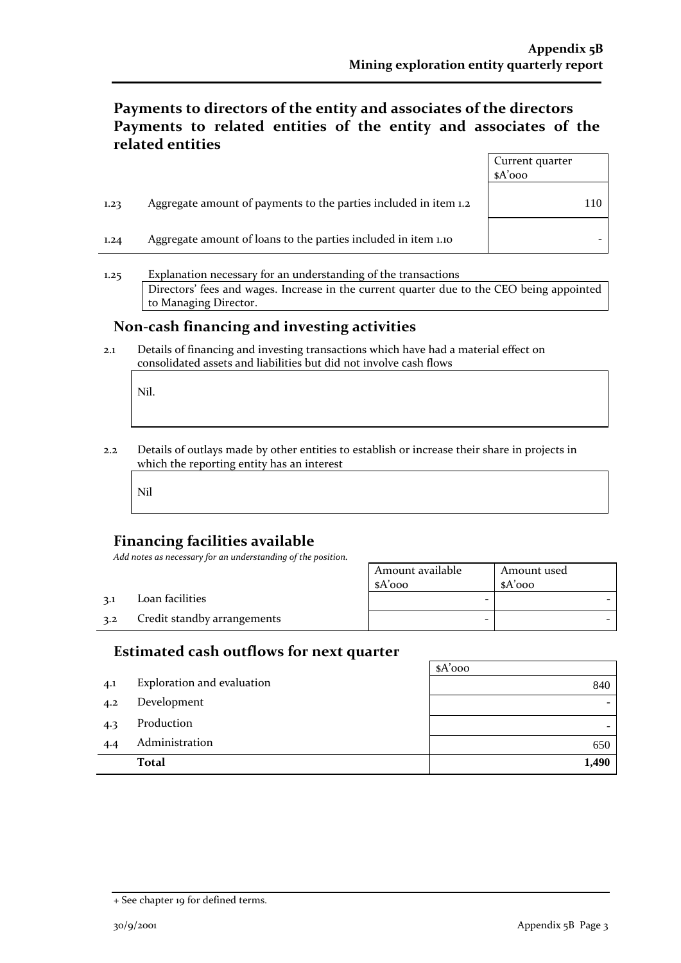### **Payments to directors of the entity and associates of the directors Payments to related entities of the entity and associates of the related entities**

|      |                                                                  | Current quarter<br>$A'$ 000 |     |
|------|------------------------------------------------------------------|-----------------------------|-----|
| 1,23 | Aggregate amount of payments to the parties included in item 1.2 |                             | 110 |
| 1.24 | Aggregate amount of loans to the parties included in item 1.10   |                             |     |

1.25 Explanation necessary for an understanding of the transactions Directors' fees and wages. Increase in the current quarter due to the CEO being appointed to Managing Director.

#### **Non-cash financing and investing activities**

2.1 Details of financing and investing transactions which have had a material effect on consolidated assets and liabilities but did not involve cash flows

Nil.

2.2 Details of outlays made by other entities to establish or increase their share in projects in which the reporting entity has an interest

Nil

#### **Financing facilities available**

*Add notes as necessary for an understanding of the position.*

|     |                             | Amount available<br>\$A'ooo | Amount used<br>$A'$ 000 |
|-----|-----------------------------|-----------------------------|-------------------------|
| 3.1 | Loan facilities             | -                           |                         |
| 3.2 | Credit standby arrangements | -                           |                         |

#### **Estimated cash outflows for next quarter**

|     |                            | $A'$ 000                 |
|-----|----------------------------|--------------------------|
| 4.1 | Exploration and evaluation | 840                      |
| 4.2 | Development                |                          |
| 4.3 | Production                 | $\overline{\phantom{0}}$ |
| 4.4 | Administration             | 650                      |
|     | <b>Total</b>               | 1,490                    |

<sup>+</sup> See chapter 19 for defined terms.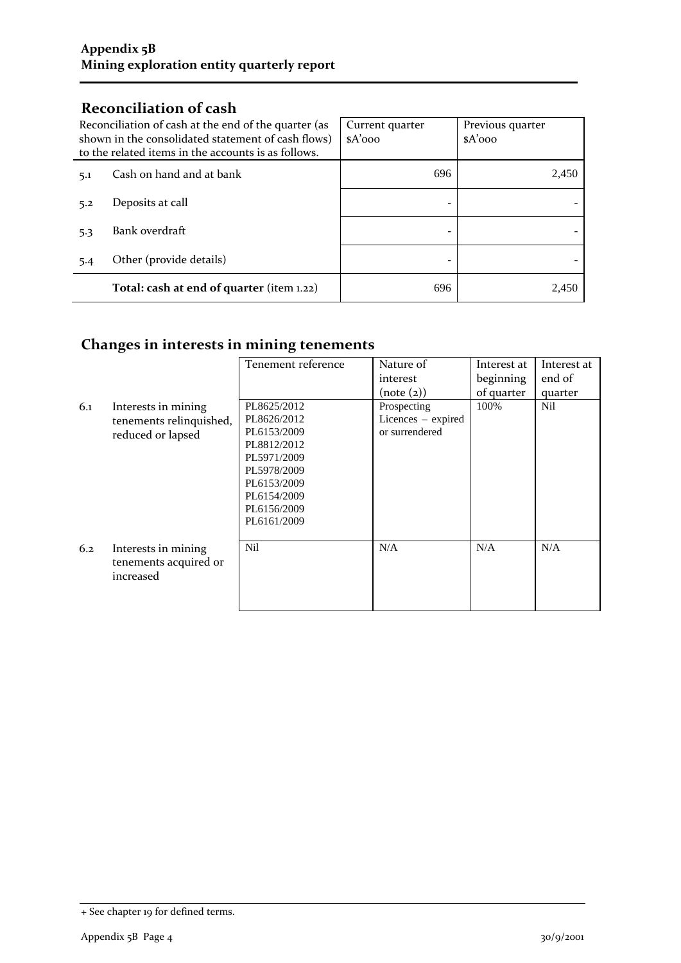## **Reconciliation of cash**

| Reconciliation of cash at the end of the quarter (as<br>shown in the consolidated statement of cash flows)<br>to the related items in the accounts is as follows. |                                           | Current quarter<br>$A'$ 000 | Previous quarter<br>$A'$ 000 |
|-------------------------------------------------------------------------------------------------------------------------------------------------------------------|-------------------------------------------|-----------------------------|------------------------------|
| 5.1                                                                                                                                                               | Cash on hand and at bank                  | 696                         | 2,450                        |
| 5.2                                                                                                                                                               | Deposits at call                          |                             |                              |
| 5.3                                                                                                                                                               | Bank overdraft                            |                             |                              |
| 5.4                                                                                                                                                               | Other (provide details)                   |                             |                              |
|                                                                                                                                                                   | Total: cash at end of quarter (item 1.22) | 696                         | 2.450                        |

## **Changes in interests in mining tenements**

|     |                         | Tenement reference | Nature of          | Interest at | Interest at |
|-----|-------------------------|--------------------|--------------------|-------------|-------------|
|     |                         |                    | interest           | beginning   | end of      |
|     |                         |                    | (note (2))         | of quarter  | quarter     |
| 6.1 | Interests in mining     | PL8625/2012        | Prospecting        | 100%        | Nil         |
|     | tenements relinquished, | PL8626/2012        | Licences - expired |             |             |
|     | reduced or lapsed       | PL6153/2009        | or surrendered     |             |             |
|     |                         | PL8812/2012        |                    |             |             |
|     |                         | PL5971/2009        |                    |             |             |
|     |                         | PL5978/2009        |                    |             |             |
|     |                         | PL6153/2009        |                    |             |             |
|     |                         | PL6154/2009        |                    |             |             |
|     |                         | PL6156/2009        |                    |             |             |
|     |                         | PL6161/2009        |                    |             |             |
|     |                         |                    |                    |             |             |
| 6.2 | Interests in mining     | Nil                | N/A                | N/A         | N/A         |
|     | tenements acquired or   |                    |                    |             |             |
|     | increased               |                    |                    |             |             |
|     |                         |                    |                    |             |             |
|     |                         |                    |                    |             |             |

<sup>+</sup> See chapter 19 for defined terms.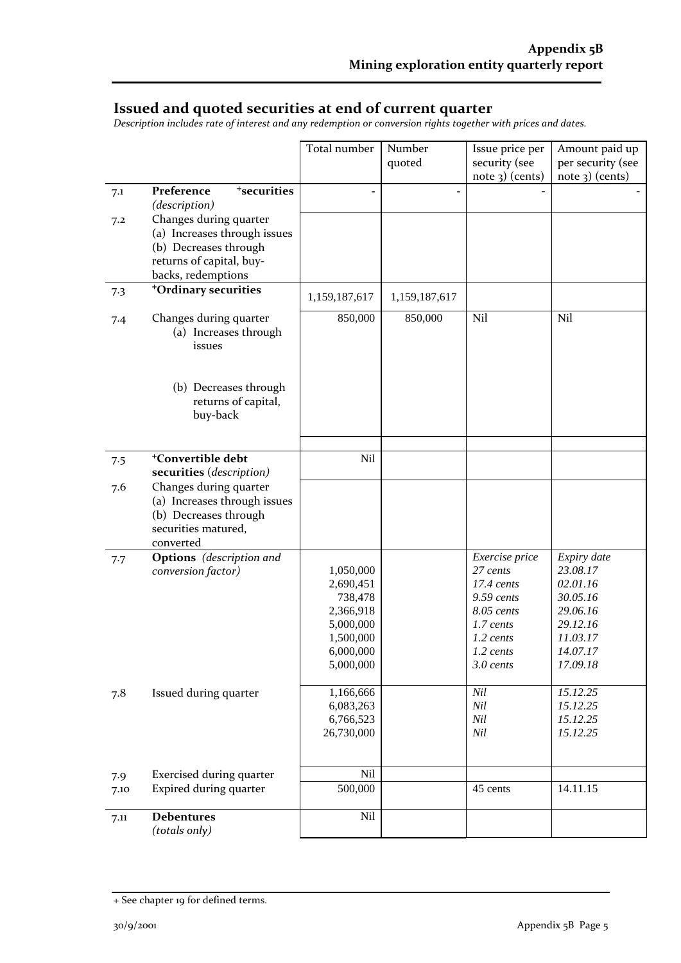#### **Issued and quoted securities at end of current quarter**

*Description includes rate of interest and any redemption or conversion rights together with prices and dates.*

|      |                                       | Total number         | Number        | Issue price per          | Amount paid up       |
|------|---------------------------------------|----------------------|---------------|--------------------------|----------------------|
|      |                                       |                      | quoted        | security (see            | per security (see    |
|      |                                       |                      |               | $note$ 3) (cents)        | $note$ 3) (cents)    |
| 7.1  | Preference<br><sup>+</sup> securities |                      |               |                          |                      |
|      | (description)                         |                      |               |                          |                      |
| 7.2  | Changes during quarter                |                      |               |                          |                      |
|      | (a) Increases through issues          |                      |               |                          |                      |
|      | (b) Decreases through                 |                      |               |                          |                      |
|      | returns of capital, buy-              |                      |               |                          |                      |
|      | backs, redemptions                    |                      |               |                          |                      |
| 7.3  | <sup>+</sup> Ordinary securities      | 1,159,187,617        | 1,159,187,617 |                          |                      |
| 7.4  | Changes during quarter                | 850,000              | 850,000       | Nil                      | Nil                  |
|      | (a) Increases through                 |                      |               |                          |                      |
|      | issues                                |                      |               |                          |                      |
|      |                                       |                      |               |                          |                      |
|      |                                       |                      |               |                          |                      |
|      | (b) Decreases through                 |                      |               |                          |                      |
|      | returns of capital,                   |                      |               |                          |                      |
|      | buy-back                              |                      |               |                          |                      |
|      |                                       |                      |               |                          |                      |
| 7.5  | <sup>+</sup> Convertible debt         | Nil                  |               |                          |                      |
|      | securities (description)              |                      |               |                          |                      |
| 7.6  | Changes during quarter                |                      |               |                          |                      |
|      | (a) Increases through issues          |                      |               |                          |                      |
|      | (b) Decreases through                 |                      |               |                          |                      |
|      | securities matured,                   |                      |               |                          |                      |
|      | converted                             |                      |               |                          |                      |
| 7.7  | <b>Options</b> (description and       |                      |               | Exercise price           | Expiry date          |
|      | conversion factor)                    | 1,050,000            |               | 27 cents                 | 23.08.17             |
|      |                                       | 2,690,451            |               | $17.4$ cents             | 02.01.16             |
|      |                                       | 738,478<br>2,366,918 |               | 9.59 cents<br>8.05 cents | 30.05.16<br>29.06.16 |
|      |                                       | 5,000,000            |               | 1.7 cents                | 29.12.16             |
|      |                                       | 1,500,000            |               | 1.2 cents                | 11.03.17             |
|      |                                       | 6,000,000            |               | $1.2 \text{ cents}$      | 14.07.17             |
|      |                                       | 5,000,000            |               | 3.0 cents                | 17.09.18             |
|      |                                       |                      |               |                          |                      |
| 7.8  | Issued during quarter                 | 1,166,666            |               | Nil                      | 15.12.25             |
|      |                                       | 6,083,263            |               | Nil                      | 15.12.25             |
|      |                                       | 6,766,523            |               | Nil                      | 15.12.25             |
|      |                                       | 26,730,000           |               | Nil                      | 15.12.25             |
|      |                                       |                      |               |                          |                      |
| 7.9  | Exercised during quarter              | Nil                  |               |                          |                      |
| 7.10 | Expired during quarter                | 500,000              |               | 45 cents                 | 14.11.15             |
|      |                                       |                      |               |                          |                      |
| 7.11 | <b>Debentures</b>                     | Nil                  |               |                          |                      |
|      | (totals only)                         |                      |               |                          |                      |

<sup>+</sup> See chapter 19 for defined terms.